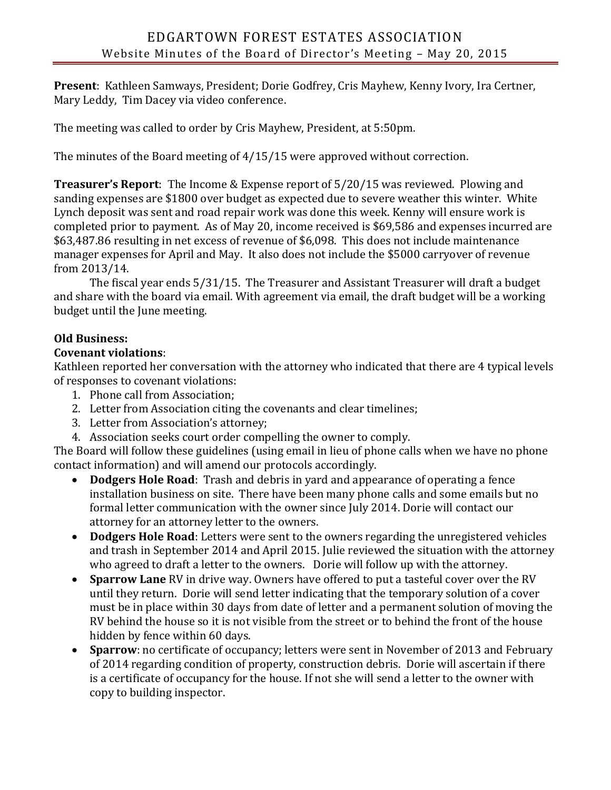**Present**: Kathleen Samways, President; Dorie Godfrey, Cris Mayhew, Kenny Ivory, Ira Certner, Mary Leddy, Tim Dacey via video conference.

The meeting was called to order by Cris Mayhew, President, at 5:50pm.

The minutes of the Board meeting of 4/15/15 were approved without correction.

**Treasurer's Report**: The Income & Expense report of 5/20/15 was reviewed. Plowing and sanding expenses are \$1800 over budget as expected due to severe weather this winter. White Lynch deposit was sent and road repair work was done this week. Kenny will ensure work is completed prior to payment. As of May 20, income received is \$69,586 and expenses incurred are \$63,487.86 resulting in net excess of revenue of \$6,098. This does not include maintenance manager expenses for April and May. It also does not include the \$5000 carryover of revenue from 2013/14.

The fiscal year ends 5/31/15. The Treasurer and Assistant Treasurer will draft a budget and share with the board via email. With agreement via email, the draft budget will be a working budget until the June meeting.

## **Old Business:**

## **Covenant violations**:

Kathleen reported her conversation with the attorney who indicated that there are 4 typical levels of responses to covenant violations:

- 1. Phone call from Association;
- 2. Letter from Association citing the covenants and clear timelines;
- 3. Letter from Association's attorney;
- 4. Association seeks court order compelling the owner to comply.

The Board will follow these guidelines (using email in lieu of phone calls when we have no phone contact information) and will amend our protocols accordingly.

- **Dodgers Hole Road**: Trash and debris in yard and appearance of operating a fence installation business on site. There have been many phone calls and some emails but no formal letter communication with the owner since July 2014. Dorie will contact our attorney for an attorney letter to the owners.
- **Dodgers Hole Road**: Letters were sent to the owners regarding the unregistered vehicles and trash in September 2014 and April 2015. Julie reviewed the situation with the attorney who agreed to draft a letter to the owners. Dorie will follow up with the attorney.
- **Sparrow Lane** RV in drive way. Owners have offered to put a tasteful cover over the RV until they return. Dorie will send letter indicating that the temporary solution of a cover must be in place within 30 days from date of letter and a permanent solution of moving the RV behind the house so it is not visible from the street or to behind the front of the house hidden by fence within 60 days.
- **Sparrow**: no certificate of occupancy; letters were sent in November of 2013 and February of 2014 regarding condition of property, construction debris. Dorie will ascertain if there is a certificate of occupancy for the house. If not she will send a letter to the owner with copy to building inspector.